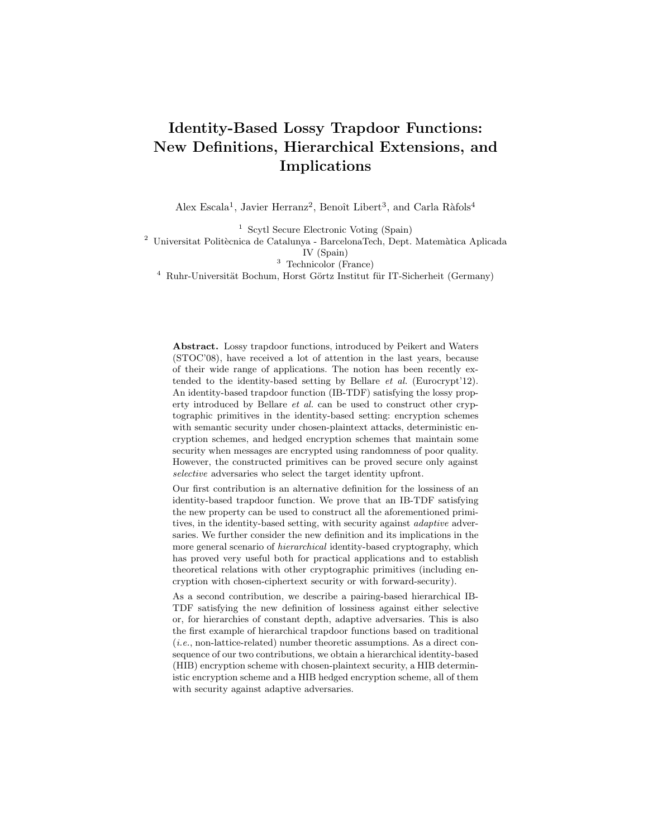# Identity-Based Lossy Trapdoor Functions: New Definitions, Hierarchical Extensions, and Implications

Alex Escala<sup>1</sup>, Javier Herranz<sup>2</sup>, Benoît Libert<sup>3</sup>, and Carla Ràfols<sup>4</sup>

<sup>1</sup> Scytl Secure Electronic Voting (Spain)

 $^2$ Universitat Politècnica de Catalunya - BarcelonaTech, Dept. Matemàtica Aplicada

IV (Spain)

<sup>3</sup> Technicolor (France)

 $4$  Ruhr-Universität Bochum, Horst Görtz Institut für IT-Sicherheit (Germany)

Abstract. Lossy trapdoor functions, introduced by Peikert and Waters (STOC'08), have received a lot of attention in the last years, because of their wide range of applications. The notion has been recently extended to the identity-based setting by Bellare et al. (Eurocrypt'12). An identity-based trapdoor function (IB-TDF) satisfying the lossy property introduced by Bellare et al. can be used to construct other cryptographic primitives in the identity-based setting: encryption schemes with semantic security under chosen-plaintext attacks, deterministic encryption schemes, and hedged encryption schemes that maintain some security when messages are encrypted using randomness of poor quality. However, the constructed primitives can be proved secure only against selective adversaries who select the target identity upfront.

Our first contribution is an alternative definition for the lossiness of an identity-based trapdoor function. We prove that an IB-TDF satisfying the new property can be used to construct all the aforementioned primitives, in the identity-based setting, with security against *adaptive* adversaries. We further consider the new definition and its implications in the more general scenario of hierarchical identity-based cryptography, which has proved very useful both for practical applications and to establish theoretical relations with other cryptographic primitives (including encryption with chosen-ciphertext security or with forward-security).

As a second contribution, we describe a pairing-based hierarchical IB-TDF satisfying the new definition of lossiness against either selective or, for hierarchies of constant depth, adaptive adversaries. This is also the first example of hierarchical trapdoor functions based on traditional (i.e., non-lattice-related) number theoretic assumptions. As a direct consequence of our two contributions, we obtain a hierarchical identity-based (HIB) encryption scheme with chosen-plaintext security, a HIB deterministic encryption scheme and a HIB hedged encryption scheme, all of them with security against adaptive adversaries.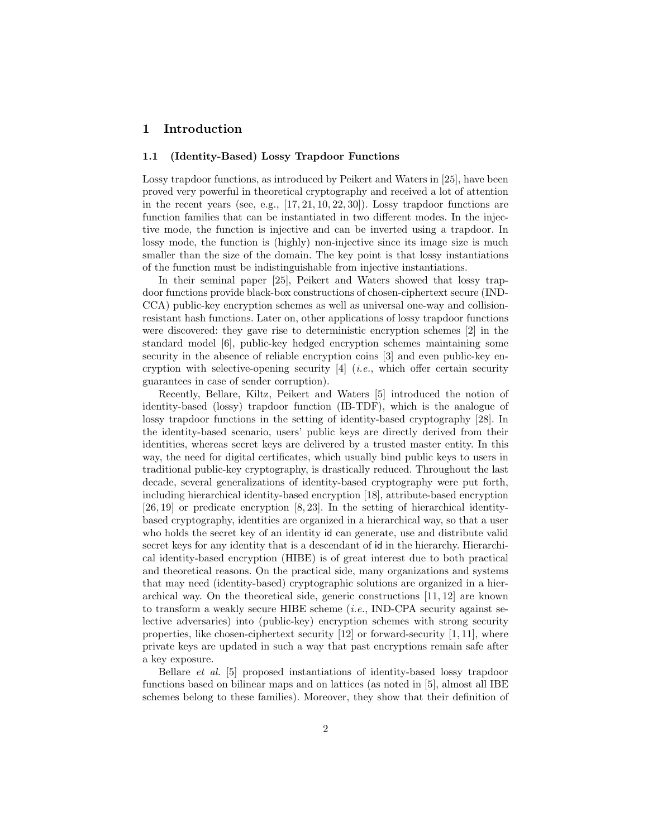## 1 Introduction

#### 1.1 (Identity-Based) Lossy Trapdoor Functions

Lossy trapdoor functions, as introduced by Peikert and Waters in [25], have been proved very powerful in theoretical cryptography and received a lot of attention in the recent years (see, e.g.,  $[17, 21, 10, 22, 30]$ ). Lossy trapdoor functions are function families that can be instantiated in two different modes. In the injective mode, the function is injective and can be inverted using a trapdoor. In lossy mode, the function is (highly) non-injective since its image size is much smaller than the size of the domain. The key point is that lossy instantiations of the function must be indistinguishable from injective instantiations.

In their seminal paper [25], Peikert and Waters showed that lossy trapdoor functions provide black-box constructions of chosen-ciphertext secure (IND-CCA) public-key encryption schemes as well as universal one-way and collisionresistant hash functions. Later on, other applications of lossy trapdoor functions were discovered: they gave rise to deterministic encryption schemes [2] in the standard model [6], public-key hedged encryption schemes maintaining some security in the absence of reliable encryption coins [3] and even public-key encryption with selective-opening security  $[4]$  (*i.e.*, which offer certain security guarantees in case of sender corruption).

Recently, Bellare, Kiltz, Peikert and Waters [5] introduced the notion of identity-based (lossy) trapdoor function (IB-TDF), which is the analogue of lossy trapdoor functions in the setting of identity-based cryptography [28]. In the identity-based scenario, users' public keys are directly derived from their identities, whereas secret keys are delivered by a trusted master entity. In this way, the need for digital certificates, which usually bind public keys to users in traditional public-key cryptography, is drastically reduced. Throughout the last decade, several generalizations of identity-based cryptography were put forth, including hierarchical identity-based encryption [18], attribute-based encryption [26, 19] or predicate encryption [8, 23]. In the setting of hierarchical identitybased cryptography, identities are organized in a hierarchical way, so that a user who holds the secret key of an identity id can generate, use and distribute valid secret keys for any identity that is a descendant of id in the hierarchy. Hierarchical identity-based encryption (HIBE) is of great interest due to both practical and theoretical reasons. On the practical side, many organizations and systems that may need (identity-based) cryptographic solutions are organized in a hierarchical way. On the theoretical side, generic constructions [11, 12] are known to transform a weakly secure HIBE scheme  $(i.e., \text{IND-CPA}$  security against selective adversaries) into (public-key) encryption schemes with strong security properties, like chosen-ciphertext security [12] or forward-security [1, 11], where private keys are updated in such a way that past encryptions remain safe after a key exposure.

Bellare et al. [5] proposed instantiations of identity-based lossy trapdoor functions based on bilinear maps and on lattices (as noted in [5], almost all IBE schemes belong to these families). Moreover, they show that their definition of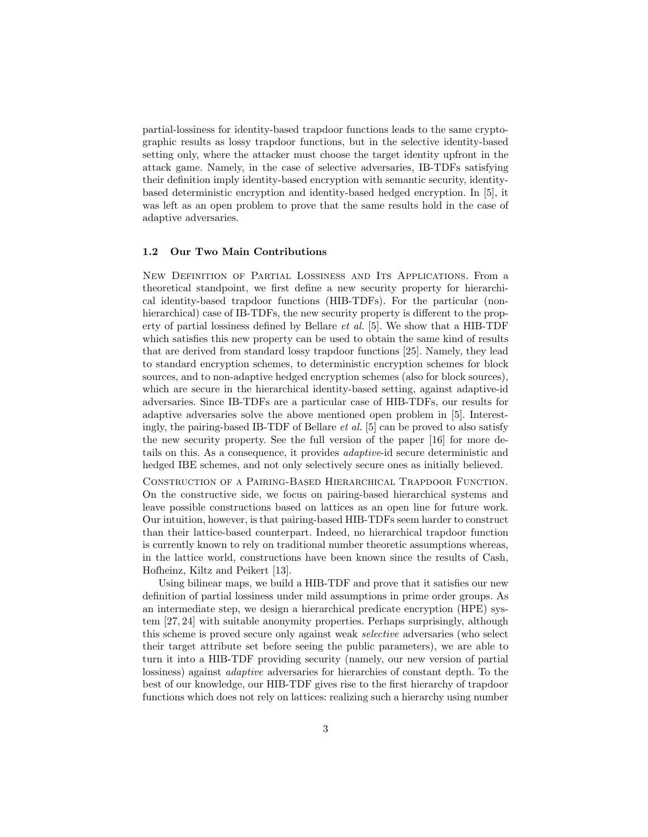partial-lossiness for identity-based trapdoor functions leads to the same cryptographic results as lossy trapdoor functions, but in the selective identity-based setting only, where the attacker must choose the target identity upfront in the attack game. Namely, in the case of selective adversaries, IB-TDFs satisfying their definition imply identity-based encryption with semantic security, identitybased deterministic encryption and identity-based hedged encryption. In [5], it was left as an open problem to prove that the same results hold in the case of adaptive adversaries.

#### 1.2 Our Two Main Contributions

New Definition of Partial Lossiness and Its Applications. From a theoretical standpoint, we first define a new security property for hierarchical identity-based trapdoor functions (HIB-TDFs). For the particular (nonhierarchical) case of IB-TDFs, the new security property is different to the property of partial lossiness defined by Bellare et al. [5]. We show that a HIB-TDF which satisfies this new property can be used to obtain the same kind of results that are derived from standard lossy trapdoor functions [25]. Namely, they lead to standard encryption schemes, to deterministic encryption schemes for block sources, and to non-adaptive hedged encryption schemes (also for block sources), which are secure in the hierarchical identity-based setting, against adaptive-id adversaries. Since IB-TDFs are a particular case of HIB-TDFs, our results for adaptive adversaries solve the above mentioned open problem in [5]. Interestingly, the pairing-based IB-TDF of Bellare *et al.* [5] can be proved to also satisfy the new security property. See the full version of the paper [16] for more details on this. As a consequence, it provides adaptive-id secure deterministic and hedged IBE schemes, and not only selectively secure ones as initially believed.

Construction of a Pairing-Based Hierarchical Trapdoor Function. On the constructive side, we focus on pairing-based hierarchical systems and leave possible constructions based on lattices as an open line for future work. Our intuition, however, is that pairing-based HIB-TDFs seem harder to construct than their lattice-based counterpart. Indeed, no hierarchical trapdoor function is currently known to rely on traditional number theoretic assumptions whereas, in the lattice world, constructions have been known since the results of Cash, Hofheinz, Kiltz and Peikert [13].

Using bilinear maps, we build a HIB-TDF and prove that it satisfies our new definition of partial lossiness under mild assumptions in prime order groups. As an intermediate step, we design a hierarchical predicate encryption (HPE) system [27, 24] with suitable anonymity properties. Perhaps surprisingly, although this scheme is proved secure only against weak selective adversaries (who select their target attribute set before seeing the public parameters), we are able to turn it into a HIB-TDF providing security (namely, our new version of partial lossiness) against adaptive adversaries for hierarchies of constant depth. To the best of our knowledge, our HIB-TDF gives rise to the first hierarchy of trapdoor functions which does not rely on lattices: realizing such a hierarchy using number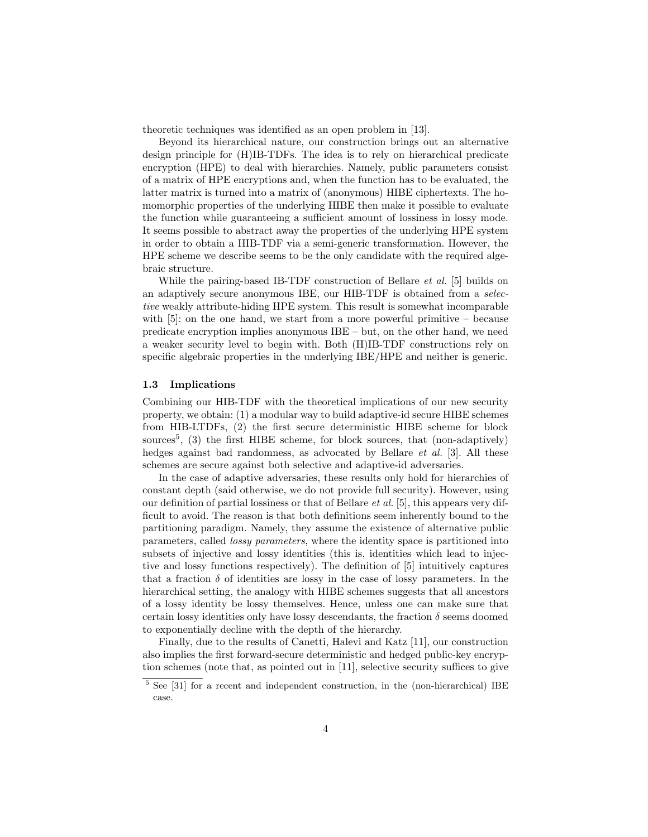theoretic techniques was identified as an open problem in [13].

Beyond its hierarchical nature, our construction brings out an alternative design principle for (H)IB-TDFs. The idea is to rely on hierarchical predicate encryption (HPE) to deal with hierarchies. Namely, public parameters consist of a matrix of HPE encryptions and, when the function has to be evaluated, the latter matrix is turned into a matrix of (anonymous) HIBE ciphertexts. The homomorphic properties of the underlying HIBE then make it possible to evaluate the function while guaranteeing a sufficient amount of lossiness in lossy mode. It seems possible to abstract away the properties of the underlying HPE system in order to obtain a HIB-TDF via a semi-generic transformation. However, the HPE scheme we describe seems to be the only candidate with the required algebraic structure.

While the pairing-based IB-TDF construction of Bellare *et al.* [5] builds on an adaptively secure anonymous IBE, our HIB-TDF is obtained from a selective weakly attribute-hiding HPE system. This result is somewhat incomparable with [5]: on the one hand, we start from a more powerful primitive – because predicate encryption implies anonymous IBE – but, on the other hand, we need a weaker security level to begin with. Both (H)IB-TDF constructions rely on specific algebraic properties in the underlying IBE/HPE and neither is generic.

#### 1.3 Implications

Combining our HIB-TDF with the theoretical implications of our new security property, we obtain: (1) a modular way to build adaptive-id secure HIBE schemes from HIB-LTDFs, (2) the first secure deterministic HIBE scheme for block sources<sup>5</sup>, (3) the first HIBE scheme, for block sources, that (non-adaptively) hedges against bad randomness, as advocated by Bellare et al. [3]. All these schemes are secure against both selective and adaptive-id adversaries.

In the case of adaptive adversaries, these results only hold for hierarchies of constant depth (said otherwise, we do not provide full security). However, using our definition of partial lossiness or that of Bellare et al. [5], this appears very difficult to avoid. The reason is that both definitions seem inherently bound to the partitioning paradigm. Namely, they assume the existence of alternative public parameters, called lossy parameters, where the identity space is partitioned into subsets of injective and lossy identities (this is, identities which lead to injective and lossy functions respectively). The definition of [5] intuitively captures that a fraction  $\delta$  of identities are lossy in the case of lossy parameters. In the hierarchical setting, the analogy with HIBE schemes suggests that all ancestors of a lossy identity be lossy themselves. Hence, unless one can make sure that certain lossy identities only have lossy descendants, the fraction  $\delta$  seems doomed to exponentially decline with the depth of the hierarchy.

Finally, due to the results of Canetti, Halevi and Katz [11], our construction also implies the first forward-secure deterministic and hedged public-key encryption schemes (note that, as pointed out in [11], selective security suffices to give

 $5$  See [31] for a recent and independent construction, in the (non-hierarchical) IBE case.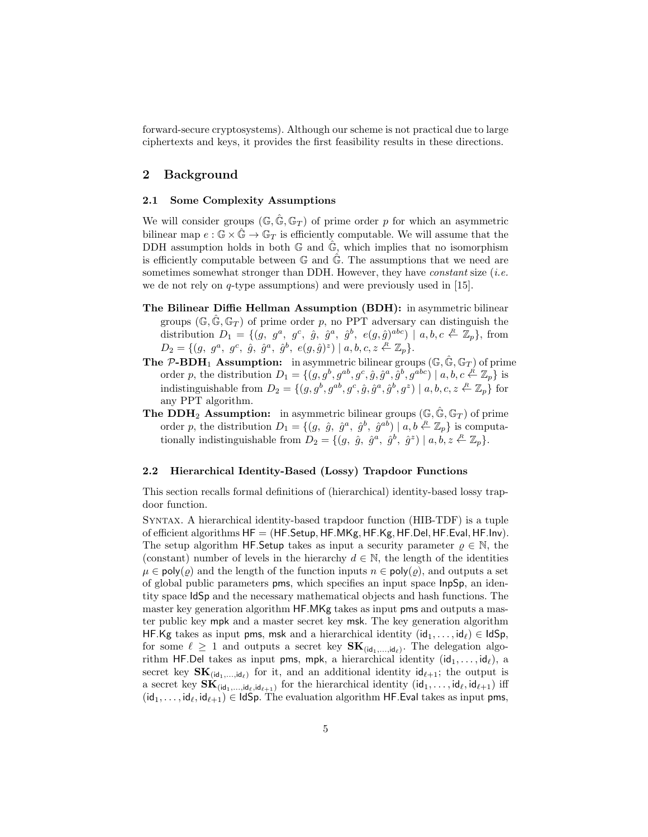forward-secure cryptosystems). Although our scheme is not practical due to large ciphertexts and keys, it provides the first feasibility results in these directions.

## 2 Background

#### 2.1 Some Complexity Assumptions

We will consider groups  $(\mathbb{G}, \hat{\mathbb{G}}, \mathbb{G}_T)$  of prime order p for which an asymmetric bilinear map  $e : \mathbb{G} \times \hat{\mathbb{G}} \to \mathbb{G}_T$  is efficiently computable. We will assume that the DDH assumption holds in both  $\mathbb{G}$  and  $\mathbb{G}$ , which implies that no isomorphism is efficiently computable between  $\mathbb G$  and  $\hat{\mathbb G}$ . The assumptions that we need are sometimes somewhat stronger than DDH. However, they have *constant* size (*i.e.* we de not rely on q-type assumptions) and were previously used in [15].

- The Bilinear Diffie Hellman Assumption (BDH): in asymmetric bilinear groups  $(\mathbb{G}, \hat{\mathbb{G}}, \mathbb{G}_T)$  of prime order p, no PPT adversary can distinguish the distribution  $D_1 = \{ (g, g^a, g^c, \hat{g}, \hat{g}^a, \hat{g}^b, e(g, \hat{g})^{abc}) \mid a, b, c \stackrel{R}{\leftarrow} \mathbb{Z}_p \}, \text{ from }$  $D_2 = \{ (g, g^a, g^c, \hat{g}, \hat{g}^a, \hat{g}^b, e(g, \hat{g})^z) | a, b, c, z \stackrel{R}{\leftarrow} \mathbb{Z}_p \}.$
- **The P-BDH<sub>1</sub> Assumption:** in asymmetric bilinear groups  $(\mathbb{G}, \hat{\mathbb{G}}, \mathbb{G}_T)$  of prime order p, the distribution  $D_1 = \{(g, g^b, g^{ab}, g^c, \hat{g}, \hat{g}^a, \hat{g}^b, g^{abc}) \mid a, b, c \stackrel{\mathcal{R}}{\leftarrow} \mathbb{Z}_p\}$  is indistinguishable from  $D_2 = \{(g, g^b, g^{ab}, g^c, \hat{g}, \hat{g}^a, \hat{g}^b, g^z) \mid a, b, c, z \stackrel{R}{\leftarrow} \mathbb{Z}_p\}$  for any PPT algorithm.
- **The DDH<sub>2</sub> Assumption:** in asymmetric bilinear groups  $(\mathbb{G}, \hat{\mathbb{G}}, \mathbb{G}_T)$  of prime order p, the distribution  $D_1 = \{(g, \hat{g}, \hat{g}^a, \hat{g}^b, \hat{g}^{ab}) \mid a, b \stackrel{\text{R}}{\leftarrow} \mathbb{Z}_p\}$  is computationally indistinguishable from  $D_2 = \{(g, \hat{g}, \hat{g}^a, \hat{g}^b, \hat{g}^z) \mid a, b, z \stackrel{R}{\leftarrow} \mathbb{Z}_p\}.$

#### 2.2 Hierarchical Identity-Based (Lossy) Trapdoor Functions

This section recalls formal definitions of (hierarchical) identity-based lossy trapdoor function.

Syntax. A hierarchical identity-based trapdoor function (HIB-TDF) is a tuple of efficient algorithms  $HF = (HF.Setup, HF.MKg, HF.Kg, HF.Del, HF.Eval, HF.Inv)$ . The setup algorithm HF.Setup takes as input a security parameter  $\rho \in \mathbb{N}$ , the (constant) number of levels in the hierarchy  $d \in \mathbb{N}$ , the length of the identities  $\mu \in \text{poly}(\rho)$  and the length of the function inputs  $n \in \text{poly}(\rho)$ , and outputs a set of global public parameters pms, which specifies an input space InpSp, an identity space IdSp and the necessary mathematical objects and hash functions. The master key generation algorithm HF.MKg takes as input pms and outputs a master public key mpk and a master secret key msk. The key generation algorithm HF.Kg takes as input pms, msk and a hierarchical identity  $(id_1, \ldots, id_\ell) \in IdSp$ , for some  $\ell \geq 1$  and outputs a secret key  $\mathbf{SK}_{(\mathsf{id}_1,\ldots,\mathsf{id}_\ell)}$ . The delegation algorithm HF.Del takes as input pms, mpk, a hierarchical identity  $(id_1, \ldots, id_\ell)$ , a secret key  $SK_{(id_1,...,id_\ell)}$  for it, and an additional identity  $id_{\ell+1}$ ; the output is a secret key  $\mathbf{SK}_{(\mathsf{id}_1,\ldots,\mathsf{id}_\ell,\mathsf{id}_{\ell+1})}$  for the hierarchical identity  $(\mathsf{id}_1,\ldots,\mathsf{id}_\ell,\mathsf{id}_{\ell+1})$  iff  $(id_1, \ldots, id_\ell, id_{\ell+1}) \in IdSp.$  The evaluation algorithm HF. Eval takes as input pms,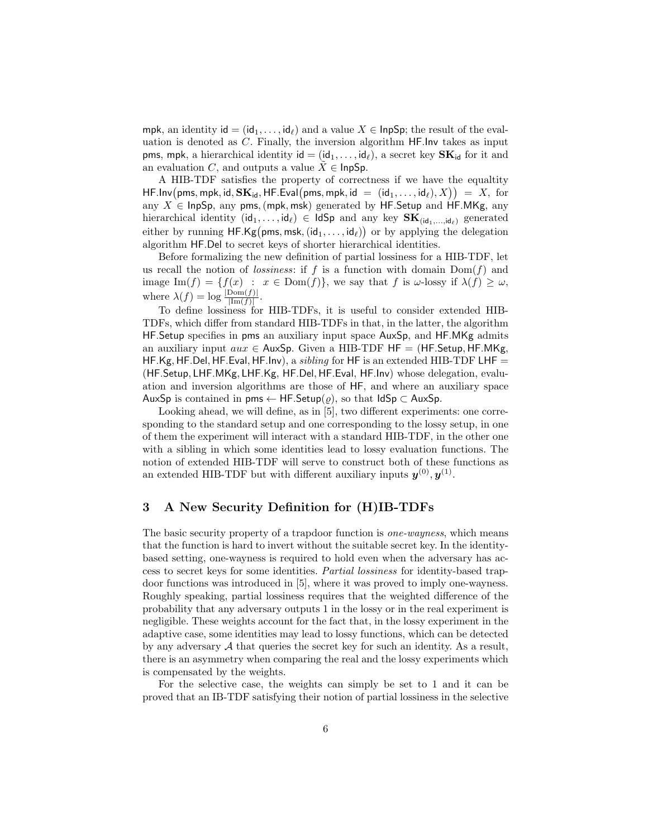mpk, an identity id =  $(id_1, \ldots, id_\ell)$  and a value  $X \in \mathsf{InpSp}$ ; the result of the evaluation is denoted as C. Finally, the inversion algorithm HF.Inv takes as input pms, mpk, a hierarchical identity  $id = (id_1, \ldots, id_\ell)$ , a secret key  $SK_{id}$  for it and an evaluation C, and outputs a value  $\tilde{X} \in \text{InpSp}.$ 

A HIB-TDF satisfies the property of correctness if we have the equaltity  $\mathsf{HF}.\mathsf{Inv}({\mathsf{pms}},{\mathsf{mpk}},{\mathsf{id}},{\mathbf{SK}}_{\mathsf{id}},{\mathsf{HF}}.\mathsf{Eval}({\mathsf{pms}},{\mathsf{mpk}},{\mathsf{id}}~=~({\mathsf{id}}_1,\ldots,{\mathsf{id}}_\ell),X\big)\big)\ =\ X,\ \text{for}$ any  $X \in \mathsf{InpSp},$  any pms, (mpk, msk) generated by HF. Setup and HF. MKg, any hierarchical identity  $(id_1, \ldots, id_\ell) \in \mathsf{IdSp}$  and any key  $\mathbf{SK}_{(id_1,\ldots, id_\ell)}$  generated either by running  $\mathsf{HF.Kg}(\mathsf{pms},\mathsf{msk},(\mathsf{id}_1,\ldots,\mathsf{id}_\ell))$  or by applying the delegation algorithm HF.Del to secret keys of shorter hierarchical identities.

Before formalizing the new definition of partial lossiness for a HIB-TDF, let us recall the notion of lossiness: if f is a function with domain  $Dom(f)$  and image Im(f) = { $f(x)$ :  $x \in Dom(f)$ }, we say that f is  $\omega$ -lossy if  $\lambda(f) \geq \omega$ , where  $\lambda(f) = \log \frac{|\text{Dom}(f)|}{|\text{Im}(f)|}$ .

To define lossiness for HIB-TDFs, it is useful to consider extended HIB-TDFs, which differ from standard HIB-TDFs in that, in the latter, the algorithm HF.Setup specifies in pms an auxiliary input space AuxSp, and HF.MKg admits an auxiliary input  $aux \in AuxSp.$  Given a HIB-TDF HF = (HF.Setup, HF.MKg, HF.Kg, HF.Del, HF.Eval, HF.Inv), a *sibling* for HF is an extended HIB-TDF LHF  $=$ (HF.Setup, LHF.MKg, LHF.Kg, HF.Del, HF.Eval, HF.Inv) whose delegation, evaluation and inversion algorithms are those of HF, and where an auxiliary space AuxSp is contained in pms  $\leftarrow$  HF. Setup( $\rho$ ), so that IdSp  $\subset$  AuxSp.

Looking ahead, we will define, as in [5], two different experiments: one corresponding to the standard setup and one corresponding to the lossy setup, in one of them the experiment will interact with a standard HIB-TDF, in the other one with a sibling in which some identities lead to lossy evaluation functions. The notion of extended HIB-TDF will serve to construct both of these functions as an extended HIB-TDF but with different auxiliary inputs  $y^{(0)}, y^{(1)}$ .

### 3 A New Security Definition for (H)IB-TDFs

The basic security property of a trapdoor function is one-wayness, which means that the function is hard to invert without the suitable secret key. In the identitybased setting, one-wayness is required to hold even when the adversary has access to secret keys for some identities. Partial lossiness for identity-based trapdoor functions was introduced in [5], where it was proved to imply one-wayness. Roughly speaking, partial lossiness requires that the weighted difference of the probability that any adversary outputs 1 in the lossy or in the real experiment is negligible. These weights account for the fact that, in the lossy experiment in the adaptive case, some identities may lead to lossy functions, which can be detected by any adversary  $A$  that queries the secret key for such an identity. As a result, there is an asymmetry when comparing the real and the lossy experiments which is compensated by the weights.

For the selective case, the weights can simply be set to 1 and it can be proved that an IB-TDF satisfying their notion of partial lossiness in the selective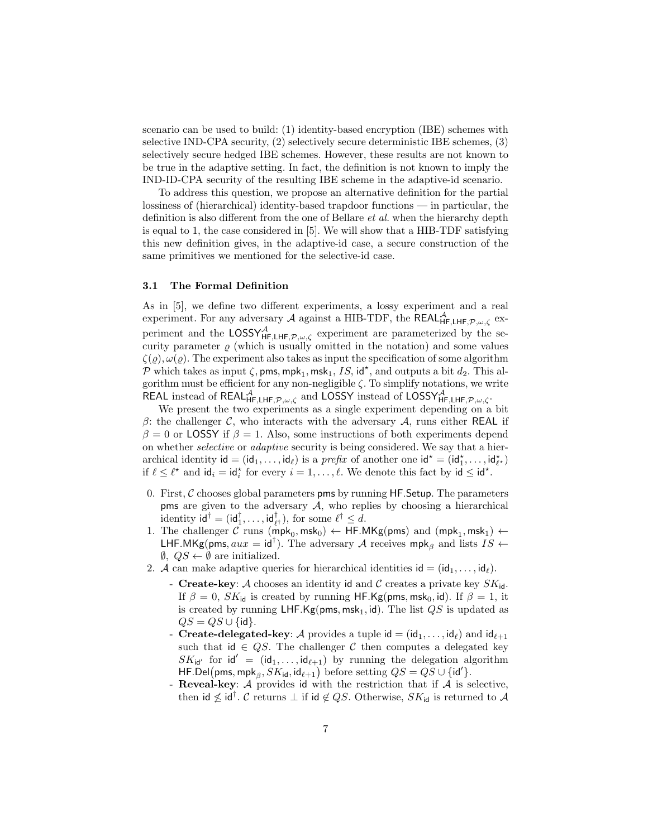scenario can be used to build: (1) identity-based encryption (IBE) schemes with selective IND-CPA security, (2) selectively secure deterministic IBE schemes, (3) selectively secure hedged IBE schemes. However, these results are not known to be true in the adaptive setting. In fact, the definition is not known to imply the IND-ID-CPA security of the resulting IBE scheme in the adaptive-id scenario.

To address this question, we propose an alternative definition for the partial lossiness of (hierarchical) identity-based trapdoor functions — in particular, the definition is also different from the one of Bellare et al. when the hierarchy depth is equal to 1, the case considered in [5]. We will show that a HIB-TDF satisfying this new definition gives, in the adaptive-id case, a secure construction of the same primitives we mentioned for the selective-id case.

#### 3.1 The Formal Definition

As in [5], we define two different experiments, a lossy experiment and a real experiment. For any adversary A against a HIB-TDF, the REAL  $A$ <sub>HF,LHF, $\mathcal{P}, \omega, \zeta$ </sub> experiment and the LOSSY<sub>HF,LHF,</sub> $p_{, \omega, \zeta}$  experiment are parameterized by the security parameter  $\rho$  (which is usually omitted in the notation) and some values  $\zeta(\varrho), \omega(\varrho)$ . The experiment also takes as input the specification of some algorithm  $\mathcal P$  which takes as input  $\zeta$ , pms, mpk<sub>1</sub>, msk<sub>1</sub>, *IS*, id<sup>\*</sup>, and outputs a bit  $d_2$ . This algorithm must be efficient for any non-negligible  $\zeta$ . To simplify notations, we write REAL instead of REAL  $^{A}_{HF, LHF, \mathcal{P}, \omega, \zeta}$  and LOSSY instead of LOSSY  $^{A}_{HF, LHF, \mathcal{P}, \omega, \zeta}$ .

We present the two experiments as a single experiment depending on a bit β: the challenger C, who interacts with the adversary A, runs either REAL if  $\beta = 0$  or LOSSY if  $\beta = 1$ . Also, some instructions of both experiments depend on whether selective or adaptive security is being considered. We say that a hierarchical identity  $id = (id_1, \ldots, id_\ell)$  is a *prefix* of another one  $id^* = (id_1^*, \ldots, id_{\ell^*})$ if  $\ell \leq \ell^*$  and  $\mathsf{id}_i = \mathsf{id}_i^*$  for every  $i = 1, \ldots, \ell$ . We denote this fact by  $\mathsf{id} \leq \mathsf{id}^*$ .

- 0. First,  $\mathcal C$  chooses global parameters pms by running HF. Setup. The parameters pms are given to the adversary  $A$ , who replies by choosing a hierarchical identity  $\mathbf{id}^\dagger = (\mathbf{id}_1^\dagger, \dots, \mathbf{id}_{\ell^\dagger}^\dagger)$ , for some  $\ell^\dagger \leq d$ .
- 1. The challenger  $C$  runs  $(\text{mpk}_0, \text{msk}_0) \leftarrow \text{HF.MKg(pms)}$  and  $(\text{mpk}_1, \text{msk}_1) \leftarrow$ LHF.MKg(pms,  $aux = id^{\dagger}$ ). The adversary A receives mpk<sub>β</sub> and lists  $IS \leftarrow$  $\emptyset$ ,  $QS \leftarrow \emptyset$  are initialized.
- 2. A can make adaptive queries for hierarchical identities  $id = (id_1, \ldots, id_\ell)$ .
	- Create-key: A chooses an identity id and C creates a private key  $SK_{\text{id}}$ . If  $\beta = 0$ ,  $SK_{id}$  is created by running HF.Kg(pms, msk<sub>0</sub>, id). If  $\beta = 1$ , it is created by running LHF.Kg(pms,  $msk_1$ , id). The list  $QS$  is updated as  $QS = QS \cup \{id\}.$
	- Create-delegated-key: A provides a tuple  $id = (id_1, \ldots, id_\ell)$  and  $id_{\ell+1}$ such that id  $\in QS$ . The challenger C then computes a delegated key  $SK_{\mathsf{id}'}$  for  $\mathsf{id}' = (\mathsf{id}_1, \ldots, \mathsf{id}_{\ell+1})$  by running the delegation algorithm HF.Del(pms, mpk<sub> $\beta$ </sub>,  $SK_{id}$ , id $_{\ell+1}$ ) before setting  $QS = QS \cup \{id'\}.$
	- Reveal-key:  $A$  provides id with the restriction that if  $A$  is selective, then id  $\nleq$  id<sup>†</sup>.  $\mathcal C$  returns  $\perp$  if id  $\notin QS$ . Otherwise,  $SK_{\mathsf{id}}$  is returned to  $\mathcal A$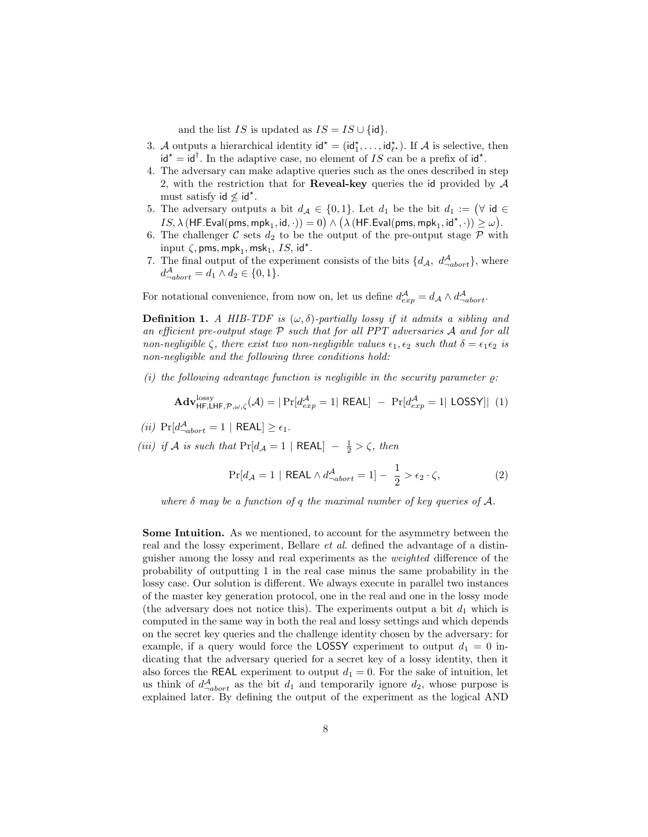and the list IS is updated as  $IS = IS \cup \{id\}.$ 

- 3. A outputs a hierarchical identity  $\mathsf{id}^* = (\mathsf{id}_1^*, \dots, \mathsf{id}_{\ell^*}^*)$ . If A is selective, then  $\mathsf{id}^* = \mathsf{id}^\dagger$ . In the adaptive case, no element of IS can be a prefix of  $\mathsf{id}^*$ .
- 4. The adversary can make adaptive queries such as the ones described in step 2, with the restriction that for **Reveal-key** queries the id provided by  $A$ must satisfy  $id \nleq id^*$ .
- 5. The adversary outputs a bit  $d_A \in \{0,1\}$ . Let  $d_1$  be the bit  $d_1 := \forall$  id  $\in$  $IS, \lambda\left(\mathsf{HF}. \mathsf{Eval}(\mathsf{pms}, \mathsf{mpk}_1, \mathsf{id}, \cdot\right)) = 0\right) \wedge \big(\lambda\left(\mathsf{HF}. \mathsf{Eval}(\mathsf{pms}, \mathsf{mpk}_1, \mathsf{id}^\star, \cdot\right)) \geqq \omega\big).$
- 6. The challenger C sets  $d_2$  to be the output of the pre-output stage P with input  $\zeta$ , pms, mpk<sub>1</sub>, msk<sub>1</sub>, *IS*, id<sup>\*</sup>.
- 7. The final output of the experiment consists of the bits  $\{d_{\mathcal{A}}, d_{-abort}^{\mathcal{A}}\}$ , where  $d_{\neg abort}^{\mathcal{A}} = d_1 \wedge d_2 \in \{0, 1\}.$

For notational convenience, from now on, let us define  $d_{exp}^{\mathcal{A}} = d_{\mathcal{A}} \wedge d_{-abort}^{\mathcal{A}}$ .

**Definition 1.** A HIB-TDF is  $(\omega, \delta)$ -partially lossy if it admits a sibling and an efficient pre-output stage  $P$  such that for all PPT adversaries  $A$  and for all non-negligible  $\zeta$ , there exist two non-negligible values  $\epsilon_1, \epsilon_2$  such that  $\delta = \epsilon_1 \epsilon_2$  is non-negligible and the following three conditions hold:

(i) the following advantage function is negligible in the security parameter  $\rho$ :

$$
\mathbf{Adv}_{\mathsf{HF},\mathsf{LHF},\mathcal{P},\omega,\zeta}^{\mathrm{lossy}}(\mathcal{A}) = |\Pr[d_{exp}^{\mathcal{A}} = 1| \ \mathsf{REAL}] \ - \ \Pr[d_{exp}^{\mathcal{A}} = 1| \ \mathsf{LOSSY}] | \ \ (1)
$$

(*ii*)  $Pr[d_{\neg abort}^{\mathcal{A}} = 1 | REAL] \geq \epsilon_1$ .

(iii) if A is such that  $Pr[d_{\mathcal{A}} = 1 | \text{ REAL}] - \frac{1}{2} > \zeta$ , then

$$
\Pr[d_{\mathcal{A}} = 1 \mid \text{REAL} \wedge d_{\neg abort}^{\mathcal{A}} = 1] - \frac{1}{2} > \epsilon_2 \cdot \zeta,
$$
\n(2)

where  $\delta$  may be a function of q the maximal number of key queries of A.

Some Intuition. As we mentioned, to account for the asymmetry between the real and the lossy experiment, Bellare et al. defined the advantage of a distinguisher among the lossy and real experiments as the weighted difference of the probability of outputting 1 in the real case minus the same probability in the lossy case. Our solution is different. We always execute in parallel two instances of the master key generation protocol, one in the real and one in the lossy mode (the adversary does not notice this). The experiments output a bit  $d_1$  which is computed in the same way in both the real and lossy settings and which depends on the secret key queries and the challenge identity chosen by the adversary: for example, if a query would force the LOSSY experiment to output  $d_1 = 0$  indicating that the adversary queried for a secret key of a lossy identity, then it also forces the REAL experiment to output  $d_1 = 0$ . For the sake of intuition, let us think of  $d_{\neg abort}^{\mathcal{A}}$  as the bit  $d_1$  and temporarily ignore  $d_2$ , whose purpose is explained later. By defining the output of the experiment as the logical AND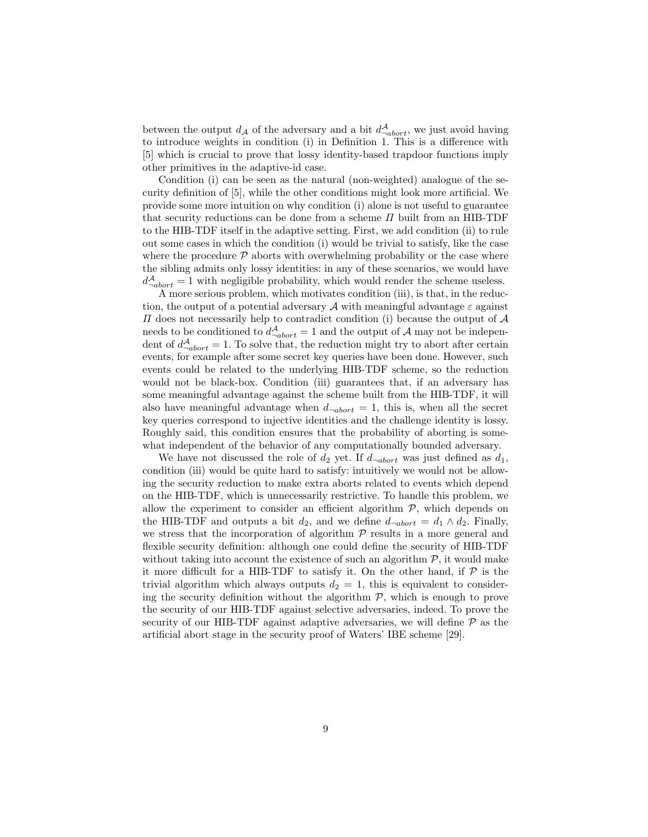between the output  $d_A$  of the adversary and a bit  $d_{\neg abort}^A$ , we just avoid having to introduce weights in condition (i) in Definition 1. This is a difference with [5] which is crucial to prove that lossy identity-based trapdoor functions imply other primitives in the adaptive-id case.

Condition (i) can be seen as the natural (non-weighted) analogue of the security definition of [5], while the other conditions might look more artificial. We provide some more intuition on why condition (i) alone is not useful to guarantee that security reductions can be done from a scheme  $\Pi$  built from an HIB-TDF to the HIB-TDF itself in the adaptive setting. First, we add condition (ii) to rule out some cases in which the condition (i) would be trivial to satisfy, like the case where the procedure  $P$  aborts with overwhelming probability or the case where the sibling admits only lossy identities: in any of these scenarios, we would have  $d_{\neg abort}^{\mathcal{A}} = 1$  with negligible probability, which would render the scheme useless.

A more serious problem, which motivates condition (iii), is that, in the reduction, the output of a potential adversary  $\mathcal A$  with meaningful advantage  $\varepsilon$  against  $\Pi$  does not necessarily help to contradict condition (i) because the output of  $A$ needs to be conditioned to  $d_{-abort}^{\mathcal{A}} = 1$  and the output of  $\mathcal{A}$  may not be independent of  $d_{-abort}^{\mathcal{A}} = 1$ . To solve that, the reduction might try to abort after certain events, for example after some secret key queries have been done. However, such events could be related to the underlying HIB-TDF scheme, so the reduction would not be black-box. Condition (iii) guarantees that, if an adversary has some meaningful advantage against the scheme built from the HIB-TDF, it will also have meaningful advantage when  $d_{\neg abort} = 1$ , this is, when all the secret key queries correspond to injective identities and the challenge identity is lossy. Roughly said, this condition ensures that the probability of aborting is somewhat independent of the behavior of any computationally bounded adversary.

We have not discussed the role of  $d_2$  yet. If  $d_{\neg abort}$  was just defined as  $d_1$ , condition (iii) would be quite hard to satisfy: intuitively we would not be allowing the security reduction to make extra aborts related to events which depend on the HIB-TDF, which is unnecessarily restrictive. To handle this problem, we allow the experiment to consider an efficient algorithm  $P$ , which depends on the HIB-TDF and outputs a bit  $d_2$ , and we define  $d_{\neg abort} = d_1 \wedge d_2$ . Finally, we stress that the incorporation of algorithm  $P$  results in a more general and flexible security definition: although one could define the security of HIB-TDF without taking into account the existence of such an algorithm  $P$ , it would make it more difficult for a HIB-TDF to satisfy it. On the other hand, if  $P$  is the trivial algorithm which always outputs  $d_2 = 1$ , this is equivalent to considering the security definition without the algorithm  $P$ , which is enough to prove the security of our HIB-TDF against selective adversaries, indeed. To prove the security of our HIB-TDF against adaptive adversaries, we will define  $P$  as the artificial abort stage in the security proof of Waters' IBE scheme [29].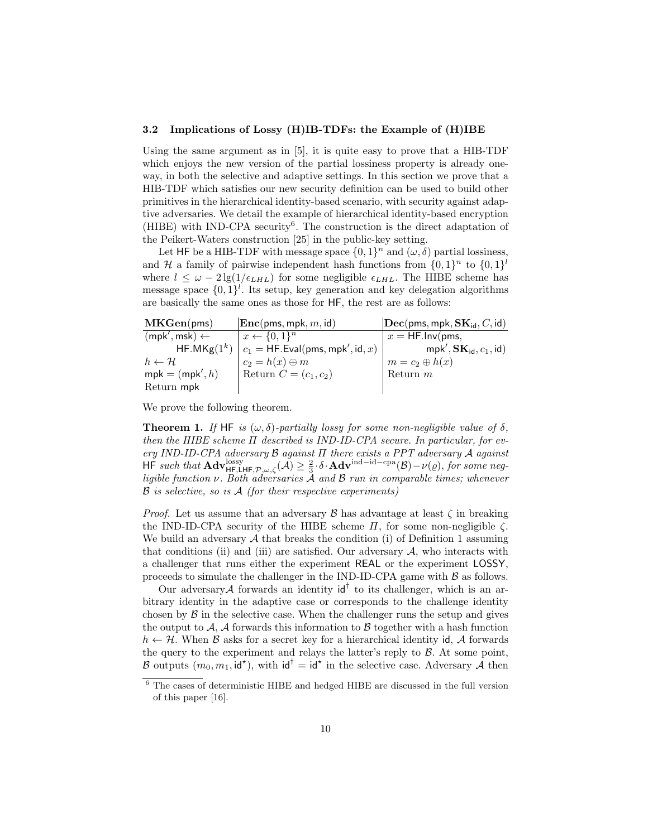#### 3.2 Implications of Lossy (H)IB-TDFs: the Example of (H)IBE

Using the same argument as in [5], it is quite easy to prove that a HIB-TDF which enjoys the new version of the partial lossiness property is already oneway, in both the selective and adaptive settings. In this section we prove that a HIB-TDF which satisfies our new security definition can be used to build other primitives in the hierarchical identity-based scenario, with security against adaptive adversaries. We detail the example of hierarchical identity-based encryption  $(HIBE)$  with IND-CPA security<sup>6</sup>. The construction is the direct adaptation of the Peikert-Waters construction [25] in the public-key setting.

Let HF be a HIB-TDF with message space  $\{0,1\}^n$  and  $(\omega, \delta)$  partial lossiness, and H a family of pairwise independent hash functions from  $\{0,1\}^n$  to  $\{0,1\}^l$ where  $l \leq \omega - 2 \lg(1/\epsilon_{LHL})$  for some negligible  $\epsilon_{LHL}$ . The HIBE scheme has message space  $\{0,1\}^l$ . Its setup, key generation and key delegation algorithms are basically the same ones as those for HF, the rest are as follows:

| MKGen(pms)              | $\vert$ <b>Enc</b> (pms, mpk, m, id)                 | $ \textbf{Dec}(\text{pms}, \text{mpk}, \textbf{SK}_{\text{id}}, C, \text{id}) $ |
|-------------------------|------------------------------------------------------|---------------------------------------------------------------------------------|
| $(mpk',msk) \leftarrow$ | $x \leftarrow \{0,1\}^n$                             | $x = HF.Inv(pms,$                                                               |
|                         | $H$ F.MKg $(1^k)$ $c_1 = HF$ .Eval(pms, mpk', id, x) | $mpk', SK_{id}, c_1, id)$                                                       |
| $h \leftarrow H$        | $c_2 = h(x) \oplus m$                                | $m = c_2 \oplus h(x)$                                                           |
| $mpk = (mpk', h)$       | Return $C=(c_1,c_2)$                                 | Return $m$                                                                      |
| Return mpk              |                                                      |                                                                                 |

We prove the following theorem.

**Theorem 1.** If HF is  $(\omega, \delta)$ -partially lossy for some non-negligible value of  $\delta$ , then the HIBE scheme  $\Pi$  described is IND-ID-CPA secure. In particular, for every IND-ID-CPA adversary  $\mathcal B$  against  $\Pi$  there exists a PPT adversary  $\mathcal A$  against  $\mathsf{HF}$  such that  $\mathbf{Adv}_{\mathsf{HF},\mathsf{LHF},\mathcal{P},\omega,\zeta}^{\text{lossy}}(\mathcal{A}) \geq \frac{2}{3} \cdot \delta \cdot \mathbf{Adv}^{\text{ind-id-cpa}}(\mathcal{B}) - \nu(\varrho),$  for some negligible function  $\nu$ . Both adversaries A and B run in comparable times; whenever  $\beta$  is selective, so is  $\mathcal A$  (for their respective experiments)

*Proof.* Let us assume that an adversary  $\beta$  has advantage at least  $\zeta$  in breaking the IND-ID-CPA security of the HIBE scheme  $\Pi$ , for some non-negligible  $\zeta$ . We build an adversary  $A$  that breaks the condition (i) of Definition 1 assuming that conditions (ii) and (iii) are satisfied. Our adversary  $A$ , who interacts with a challenger that runs either the experiment REAL or the experiment LOSSY, proceeds to simulate the challenger in the IND-ID-CPA game with  $\beta$  as follows.

Our adversary A forwards an identity  $\mathsf{id}^\dagger$  to its challenger, which is an arbitrary identity in the adaptive case or corresponds to the challenge identity chosen by  $\beta$  in the selective case. When the challenger runs the setup and gives the output to  $A$ ,  $A$  forwards this information to  $B$  together with a hash function  $h \leftarrow H$ . When B asks for a secret key for a hierarchical identity id, A forwards the query to the experiment and relays the latter's reply to  $\beta$ . At some point, B outputs  $(m_0, m_1, id^*)$ , with  $id^{\dagger} = id^*$  in the selective case. Adversary A then

 $^6$  The cases of deterministic HIBE and hedged HIBE are discussed in the full version of this paper [16].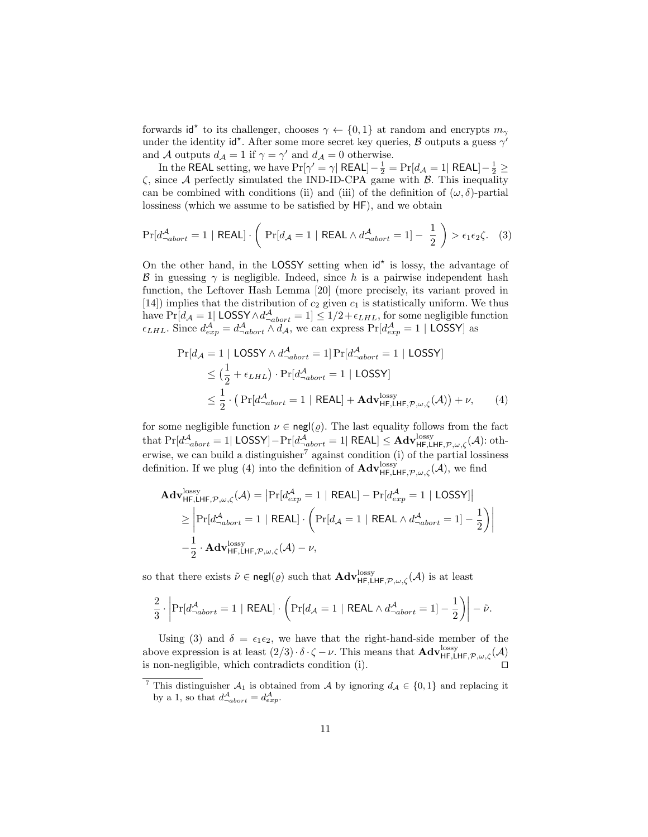forwards id<sup>\*</sup> to its challenger, chooses  $\gamma \leftarrow \{0,1\}$  at random and encrypts  $m_{\gamma}$ under the identity id<sup>\*</sup>. After some more secret key queries,  $\beta$  outputs a guess  $\gamma'$ and A outputs  $d_A = 1$  if  $\gamma = \gamma'$  and  $d_A = 0$  otherwise.

In the REAL setting, we have  $Pr[\gamma' = \gamma | \text{ REAL}] - \frac{1}{2} = Pr[d_{\mathcal{A}} = 1 | \text{ REAL}] - \frac{1}{2} \geq$  $\zeta$ , since A perfectly simulated the IND-ID-CPA game with  $\beta$ . This inequality can be combined with conditions (ii) and (iii) of the definition of  $(\omega, \delta)$ -partial lossiness (which we assume to be satisfied by HF), and we obtain

$$
\Pr[d_{\neg abort}^{\mathcal{A}} = 1 \mid \mathsf{REAL}] \cdot \left( \Pr[d_{\mathcal{A}} = 1 \mid \mathsf{REAL} \land d_{\neg abort}^{\mathcal{A}} = 1] - \frac{1}{2} \right) > \epsilon_1 \epsilon_2 \zeta. \tag{3}
$$

On the other hand, in the LOSSY setting when  $\mathsf{id}^*$  is lossy, the advantage of B in guessing  $\gamma$  is negligible. Indeed, since h is a pairwise independent hash function, the Leftover Hash Lemma [20] (more precisely, its variant proved in [14]) implies that the distribution of  $c_2$  given  $c_1$  is statistically uniform. We thus have  $Pr[d_{\mathcal{A}} = 1]$  LOSSY  $\wedge d_{\neg abort}^{\mathcal{A}} = 1] \leq 1/2 + \epsilon_{LHL}$ , for some negligible function  $\epsilon_{LHL}$ . Since  $d_{exp}^{\mathcal{A}} = d_{-abort}^{\mathcal{A}} \wedge d_{\mathcal{A}}$ , we can express  $Pr[d_{exp}^{\mathcal{A}} = 1 |$  LOSSY as

$$
\Pr[d_{\mathcal{A}} = 1 \mid \text{LOSSY} \land d_{\neg abort}^{A} = 1] \Pr[d_{\neg abort}^{A} = 1 \mid \text{LOSSY}]
$$
\n
$$
\leq \left(\frac{1}{2} + \epsilon_{LHL}\right) \cdot \Pr[d_{\neg abort}^{A} = 1 \mid \text{LOSSY}]
$$
\n
$$
\leq \frac{1}{2} \cdot \left(\Pr[d_{\neg abort}^{A} = 1 \mid \text{REAL}] + \text{Adv}_{\text{HF,LHF}, \mathcal{P}, \omega, \zeta}^{lossy}(\mathcal{A})\right) + \nu, \tag{4}
$$

for some negligible function  $\nu \in \text{negl}(\varrho)$ . The last equality follows from the fact that  $\Pr[d_{-abort}^{\mathcal{A}}=1|\ \mathsf{LOSSY}]-\Pr[d_{-abort}^{\mathcal{A}}=1|\ \mathsf{REAL}]\leq \mathbf{Adv}_{\mathsf{HF},\mathsf{LHF},\mathcal{P},\omega,\zeta}^{\mathrm{lossy}}(\mathcal{A})\colon\mathrm{oth-}$ erwise, we can build a distinguisher<sup>7</sup> against condition (i) of the partial lossiness definition. If we plug (4) into the definition of  $\text{Adv}_{\text{HF,LHF},\mathcal{P},\omega,\zeta}^{lossy}(\mathcal{A})$ , we find

$$
\mathbf{Adv}_{\mathsf{HF},\mathsf{LHF},\mathcal{P},\omega,\zeta}^{\text{lossy}}(\mathcal{A}) = \left| \Pr[d_{exp}^{\mathcal{A}} = 1 \mid \mathsf{REAL}] - \Pr[d_{exp}^{\mathcal{A}} = 1 \mid \mathsf{LOSSY}] \right|
$$
  
\n
$$
\geq \left| \Pr[d_{\neg abort}^{\mathcal{A}} = 1 \mid \mathsf{REAL}] \cdot \left( \Pr[d_{\mathcal{A}} = 1 \mid \mathsf{REAL} \wedge d_{\neg abort}^{\mathcal{A}} = 1] - \frac{1}{2} \right) \right|
$$
  
\n
$$
-\frac{1}{2} \cdot \mathbf{Adv}_{\mathsf{HF},\mathsf{LHF},\mathcal{P},\omega,\zeta}^{\text{lossy}}(\mathcal{A}) - \nu,
$$

so that there exists  $\tilde{\nu} \in \text{negl}(\varrho)$  such that  $\text{Adv}_{\text{HF,LHF},\mathcal{P},\omega,\zeta}^{\text{lossy}}(\mathcal{A})$  is at least

$$
\frac{2}{3} \cdot \left| \Pr[d_{\neg abort}^{\mathcal{A}} = 1 \mid \mathsf{REAL}] \cdot \left( \Pr[d_{\mathcal{A}} = 1 \mid \mathsf{REAL} \wedge d_{\neg abort}^{\mathcal{A}} = 1] - \frac{1}{2} \right) \right| - \tilde{\nu}.
$$

Using (3) and  $\delta = \epsilon_1 \epsilon_2$ , we have that the right-hand-side member of the above expression is at least  $(2/3) \cdot \delta \cdot \zeta - \nu$ . This means that  $\text{Adv}_{\text{HF,LHF},\mathcal{P},\omega,\zeta}^{loss}(\mathcal{A})$ is non-negligible, which contradicts condition (i).

<sup>&</sup>lt;sup>7</sup> This distinguisher  $A_1$  is obtained from A by ignoring  $d_A \in \{0,1\}$  and replacing it by a 1, so that  $d_{\neg abort}^{\mathcal{A}} = d_{exp}^{\mathcal{A}}$ .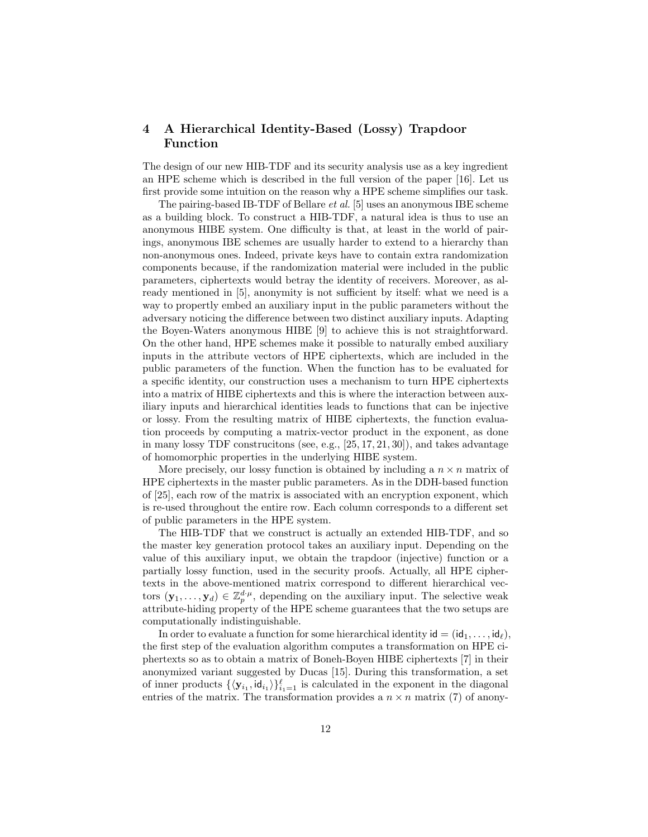# 4 A Hierarchical Identity-Based (Lossy) Trapdoor Function

The design of our new HIB-TDF and its security analysis use as a key ingredient an HPE scheme which is described in the full version of the paper [16]. Let us first provide some intuition on the reason why a HPE scheme simplifies our task.

The pairing-based IB-TDF of Bellare et al. [5] uses an anonymous IBE scheme as a building block. To construct a HIB-TDF, a natural idea is thus to use an anonymous HIBE system. One difficulty is that, at least in the world of pairings, anonymous IBE schemes are usually harder to extend to a hierarchy than non-anonymous ones. Indeed, private keys have to contain extra randomization components because, if the randomization material were included in the public parameters, ciphertexts would betray the identity of receivers. Moreover, as already mentioned in [5], anonymity is not sufficient by itself: what we need is a way to propertly embed an auxiliary input in the public parameters without the adversary noticing the difference between two distinct auxiliary inputs. Adapting the Boyen-Waters anonymous HIBE [9] to achieve this is not straightforward. On the other hand, HPE schemes make it possible to naturally embed auxiliary inputs in the attribute vectors of HPE ciphertexts, which are included in the public parameters of the function. When the function has to be evaluated for a specific identity, our construction uses a mechanism to turn HPE ciphertexts into a matrix of HIBE ciphertexts and this is where the interaction between auxiliary inputs and hierarchical identities leads to functions that can be injective or lossy. From the resulting matrix of HIBE ciphertexts, the function evaluation proceeds by computing a matrix-vector product in the exponent, as done in many lossy TDF construcitons (see, e.g., [25, 17, 21, 30]), and takes advantage of homomorphic properties in the underlying HIBE system.

More precisely, our lossy function is obtained by including a  $n \times n$  matrix of HPE ciphertexts in the master public parameters. As in the DDH-based function of [25], each row of the matrix is associated with an encryption exponent, which is re-used throughout the entire row. Each column corresponds to a different set of public parameters in the HPE system.

The HIB-TDF that we construct is actually an extended HIB-TDF, and so the master key generation protocol takes an auxiliary input. Depending on the value of this auxiliary input, we obtain the trapdoor (injective) function or a partially lossy function, used in the security proofs. Actually, all HPE ciphertexts in the above-mentioned matrix correspond to different hierarchical vectors  $(\mathbf{y}_1, \ldots, \mathbf{y}_d) \in \mathbb{Z}_p^{d \cdot \mu}$ , depending on the auxiliary input. The selective weak attribute-hiding property of the HPE scheme guarantees that the two setups are computationally indistinguishable.

In order to evaluate a function for some hierarchical identity  $id = (id_1, \ldots, id_\ell)$ , the first step of the evaluation algorithm computes a transformation on HPE ciphertexts so as to obtain a matrix of Boneh-Boyen HIBE ciphertexts [7] in their anonymized variant suggested by Ducas [15]. During this transformation, a set of inner products  $\{\langle y_{i_1}, id_{i_1}\rangle\}_{i_1=1}^{\ell}$  is calculated in the exponent in the diagonal entries of the matrix. The transformation provides a  $n \times n$  matrix (7) of anony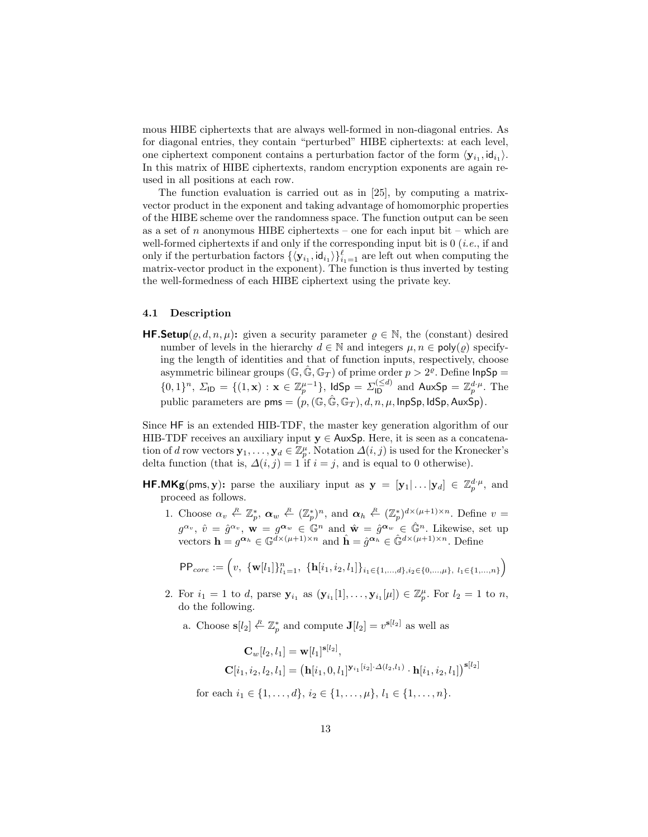mous HIBE ciphertexts that are always well-formed in non-diagonal entries. As for diagonal entries, they contain "perturbed" HIBE ciphertexts: at each level, one ciphertext component contains a perturbation factor of the form  $\langle y_{i_1}, id_{i_1} \rangle$ . In this matrix of HIBE ciphertexts, random encryption exponents are again reused in all positions at each row.

The function evaluation is carried out as in [25], by computing a matrixvector product in the exponent and taking advantage of homomorphic properties of the HIBE scheme over the randomness space. The function output can be seen as a set of n anonymous HIBE ciphertexts – one for each input bit – which are well-formed ciphertexts if and only if the corresponding input bit is  $0$  (*i.e.*, if and only if the perturbation factors  ${\langle \mathbf{y}_{i_1}, \mathsf{id}_{i_1} \rangle \}_{i_1=1}^{\ell}$  are left out when computing the matrix-vector product in the exponent). The function is thus inverted by testing the well-formedness of each HIBE ciphertext using the private key.

#### 4.1 Description

**HF.Setup**( $\rho, d, n, \mu$ ): given a security parameter  $\rho \in \mathbb{N}$ , the (constant) desired number of levels in the hierarchy  $d \in \mathbb{N}$  and integers  $\mu, n \in \text{poly}(\rho)$  specifying the length of identities and that of function inputs, respectively, choose asymmetric bilinear groups  $(\mathbb{G}, \hat{\mathbb{G}}, \mathbb{G}_T)$  of prime order  $p > 2^{\varrho}$ . Define  $\mathsf{InpSp} =$  $\{0,1\}^n$ ,  $\Sigma_{\text{ID}} = \{(1, \mathbf{x}) : \mathbf{x} \in \mathbb{Z}_p^{\mu-1}\}$ ,  $\text{IdSp} = \Sigma_{\text{ID}}^{(\leq d)}$  and  $\text{AuxSp} = \mathbb{Z}_p^{d \cdot \mu}$ . The public parameters are  $\mathsf{pms} = \bigl(p,(\mathbb{G},\hat{\mathbb{G}},\mathbb{G}_T),d,n,\mu,\mathsf{InpSp},\mathsf{IdSp},\mathsf{AuxSp}\bigr).$ 

Since HF is an extended HIB-TDF, the master key generation algorithm of our HIB-TDF receives an auxiliary input  $y \in A$ ux $Sp$ . Here, it is seen as a concatenation of d row vectors  $\mathbf{y}_1, \ldots, \mathbf{y}_d \in \mathbb{Z}_p^{\mu}$ . Notation  $\Delta(i, j)$  is used for the Kronecker's delta function (that is,  $\Delta(i, j) = 1$  if  $i = j$ , and is equal to 0 otherwise).

- **HF.MKg**(pms, y): parse the auxiliary input as  $y = [y_1 | ... | y_d] \in \mathbb{Z}_p^{d \cdot \mu}$ , and proceed as follows.
	- 1. Choose  $\alpha_v \stackrel{R}{\leftarrow} \mathbb{Z}_p^*, \ \alpha_w \stackrel{R}{\leftarrow} (\mathbb{Z}_p^*)^n$ , and  $\alpha_h \stackrel{R}{\leftarrow} (\mathbb{Z}_p^*)^{d \times (\mu+1) \times n}$ . Define  $v =$  $g^{\alpha_v}$ ,  $\hat{v} = \hat{g}^{\alpha_v}$ ,  $\mathbf{w} = g^{\alpha_w} \in \mathbb{G}^n$  and  $\hat{\mathbf{w}} = \hat{g}^{\alpha_w} \in \hat{\mathbb{G}}^n$ . Likewise, set up vectors  $\mathbf{h} = g^{\alpha_h} \in \mathbb{G}^{\tilde{d} \times (\mu+1) \times n}$  and  $\hat{\mathbf{h}} = \hat{g}^{\alpha_h} \in \hat{\mathbb{G}}^{d \times (\mu+1) \times n}$ . Define

$$
\text{PP}_{core} := \left(v, \ \{\mathbf{w}[l_1]\}_{l_1=1}^n, \ \{\mathbf{h}[i_1, i_2, l_1]\}_{i_1 \in \{1, \dots, d\}, i_2 \in \{0, \dots, \mu\}, \ l_1 \in \{1, \dots, n\}}\right)
$$

- 2. For  $i_1 = 1$  to d, parse  $y_{i_1}$  as  $(y_{i_1}[1], \ldots, y_{i_1}[\mu]) \in \mathbb{Z}_p^{\mu}$ . For  $l_2 = 1$  to n, do the following.
	- a. Choose  $s[l_2] \stackrel{R}{\leftarrow} \mathbb{Z}_p^*$  and compute  $J[l_2] = v^{s[l_2]}$  as well as

$$
\mathbf{C}_{w}[l_2, l_1] = \mathbf{w}[l_1]^{\mathbf{s}[l_2]},\\ \mathbf{C}[i_1, i_2, l_2, l_1] = (\mathbf{h}[i_1, 0, l_1]^{\mathbf{y}_{i_1}[i_2] \cdot \Delta(l_2, l_1)} \cdot \mathbf{h}[i_1, i_2, l_1])^{\mathbf{s}[l_2]}
$$

for each  $i_1 \in \{1, \ldots, d\}, i_2 \in \{1, \ldots, \mu\}, l_1 \in \{1, \ldots, n\}.$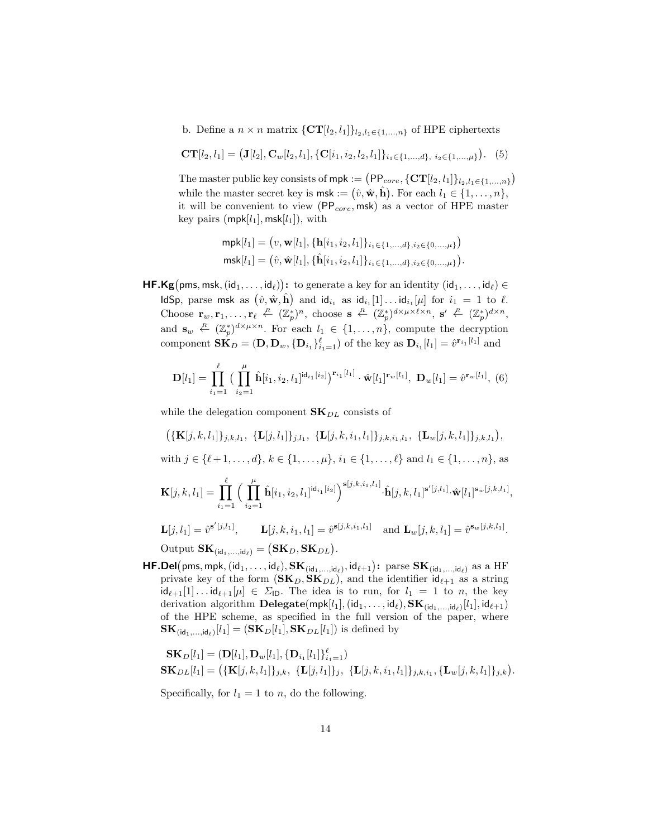b. Define a  $n \times n$  matrix  $\{CT[l_2, l_1]\}_{l_2, l_1 \in \{1, \ldots, n\}}$  of HPE ciphertexts

$$
CT[l_2, l_1] = (J[l_2], C_w[l_2, l_1], \{C[i_1, i_2, l_2, l_1]\}_{i_1 \in \{1, \dots, d\}, i_2 \in \{1, \dots, \mu\}}). (5)
$$

The master public key consists of  $mpk := (PP_{core}, \{CT[l_2, l_1]\}_{l_2, l_1 \in \{1, ..., n\}})$ while the master secret key is  $\textsf{msk} := (\hat{v}, \hat{\mathbf{w}}, \hat{\mathbf{h}})$ . For each  $l_1 \in \{1, \ldots, n\}$ , it will be convenient to view ( $PP_{core}$ , msk) as a vector of HPE master key pairs (mpk $[l_1]$ , msk $[l_1]$ ), with

$$
\begin{aligned} \mathsf{mpk}[l_1] &= \left(v, \mathbf{w}[l_1], \{\mathbf{h}[i_1, i_2, l_1]\}_{i_1 \in \{1, \dots, d\}, i_2 \in \{0, \dots, \mu\}}\right) \\ \mathsf{msk}[l_1] &= \left(\hat{v}, \hat{\mathbf{w}}[l_1], \{\hat{\mathbf{h}}[i_1, i_2, l_1]\}_{i_1 \in \{1, \dots, d\}, i_2 \in \{0, \dots, \mu\}}\right). \end{aligned}
$$

 $\mathsf{HF.Kg}(\mathsf{pms},\mathsf{msk},(\mathsf{id}_1,\ldots,\mathsf{id}_\ell))\colon \text{ to generate a key for an identity }(\mathsf{id}_1,\ldots,\mathsf{id}_\ell)\in$ ldSp, parse msk as  $(\hat{v}, \hat{\mathbf{w}}, \hat{\mathbf{h}})$  and  $\mathsf{id}_{i_1}$  as  $\mathsf{id}_{i_1}[1] \dots \mathsf{id}_{i_1}[\mu]$  for  $i_1 = 1$  to  $\ell$ . Choose  $\mathbf{r}_w, \mathbf{r}_1, \ldots, \mathbf{r}_{\ell} \stackrel{R}{\leftarrow} (\mathbb{Z}_p^*)^n$ , choose  $\mathbf{s} \stackrel{R}{\leftarrow} (\mathbb{Z}_p^*)^{d \times \mu \times \ell \times n}$ ,  $\mathbf{s}' \stackrel{R}{\leftarrow} (\mathbb{Z}_p^*)^{d \times n}$ , and  $\mathbf{s}_w \leftarrow (\mathbb{Z}_p^*)^{d \times \mu \times n}$ . For each  $l_1 \in \{1, ..., n\}$ , compute the decryption component  $\mathbf{SK}_D = (\mathbf{D}, \mathbf{D}_w, \{\mathbf{D}_{i_1}\}_{i_1=1}^{\ell})$  of the key as  $\mathbf{D}_{i_1}[l_1] = \hat{v}^{\mathbf{r}_{i_1}[l_1]}$  and

$$
\mathbf{D}[l_1] = \prod_{i_1=1}^{\ell} \big( \prod_{i_2=1}^{\mu} \hat{\mathbf{h}}[i_1, i_2, l_1]^{\mathsf{id}_{i_1}[i_2]} \big)^{\mathbf{r}_{i_1}[l_1]} \cdot \hat{\mathbf{w}}[l_1]^{\mathbf{r}_w[l_1]}, \ \mathbf{D}_w[l_1] = \hat{v}^{\mathbf{r}_w[l_1]}, \ (6)
$$

while the delegation component  $\mathbf{SK}_{DL}$  consists of

 $\left( {\{\mathbf{K}[j,k,l_1]\}_{j,k,l_1}}, \ {\{\mathbf{L}[j,l_1]\}_{j,l_1}}, \ {\{\mathbf{L}[j,k,i_1,l_1]\}_{j,k,i_1,l_1}}, \ {\{\mathbf{L}_w[j,k,l_1]\}_{j,k,l_1}} \right)$ 

with  $j \in \{\ell + 1, \ldots, d\}, k \in \{1, \ldots, \mu\}, i_1 \in \{1, \ldots, \ell\}$  and  $l_1 \in \{1, \ldots, n\}$ , as

$$
\mathbf{K}[j,k,l_1] = \prod_{i_1=1}^{\ell} \Big( \prod_{i_2=1}^{\mu} \hat{\mathbf{h}}[i_1,i_2,l_1]^{\mathsf{id}_{i_1}[i_2]} \Big)^{\mathbf{s}[j,k,i_1,l_1]} \cdot \hat{\mathbf{h}}[j,k,l_1]^{\mathbf{s}'[j,l_1]} \cdot \hat{\mathbf{w}}[l_1]^{\mathbf{s}_w[j,k,l_1]},
$$

$$
\mathbf{L}[j,l_1] = \hat{v}^{\mathbf{s}'[j,l_1]}, \qquad \mathbf{L}[j,k,i_1,l_1] = \hat{v}^{\mathbf{s}[j,k,i_1,l_1]} \quad \text{and } \mathbf{L}_w[j,k,l_1] = \hat{v}^{\mathbf{s}_w[j,k,l_1]}.
$$

Output  $\mathbf{SK}_{(\mathsf{id}_1,\ldots,\mathsf{id}_\ell)} = (\mathbf{SK}_D, \mathbf{SK}_{DL}).$ 

 $\bm{\mathsf{HF.Del}}(\textsf{pms},\textsf{mpk},(\textsf{id}_1,\dots,\textsf{id}_\ell),\mathbf{SK}_{(\textsf{id}_1,\dots,\textsf{id}_\ell)},\textsf{id}_{\ell+1})\text{: parse } \mathbf{SK}_{(\textsf{id}_1,\dots,\textsf{id}_\ell)} \text{ as a HF}$ private key of the form  $(SK_D, SK_{DL})$ , and the identifier  $id_{\ell+1}$  as a string  $id_{\ell+1}[1] \ldots id_{\ell+1}[\mu] \in \Sigma_{\mathsf{ID}}$ . The idea is to run, for  $l_1 = 1$  to n, the key derivation algorithm  $\bf{Delegate}(\mathsf{mpk}[l_1],(\mathsf{id}_1, \dots, \mathsf{id}_\ell), \mathbf{SK}_{(\mathsf{id}_1, \dots, \mathsf{id}_\ell)}[l_1], \mathsf{id}_{\ell+1})$ of the HPE scheme, as specified in the full version of the paper, where  $\mathbf{SK}_{(\mathsf{id}_1,\ldots,\mathsf{id}_\ell)}[l_1] = (\mathbf{SK}_D[l_1], \mathbf{SK}_{DL}[l_1])$  is defined by

$$
\mathbf{SK}_D[l_1] = (\mathbf{D}[l_1], \mathbf{D}_w[l_1], \{\mathbf{D}_{i_1}[l_1]\}_{i_1=1}^{\ell})
$$
  
\n
$$
\mathbf{SK}_{DL}[l_1] = (\{\mathbf{K}[j,k,l_1]\}_{j,k}, \{\mathbf{L}[j,l_1]\}_{j}, \{\mathbf{L}[j,k,i_1,l_1]\}_{j,k,i_1}, \{\mathbf{L}_w[j,k,l_1]\}_{j,k}).
$$

Specifically, for  $l_1 = 1$  to n, do the following.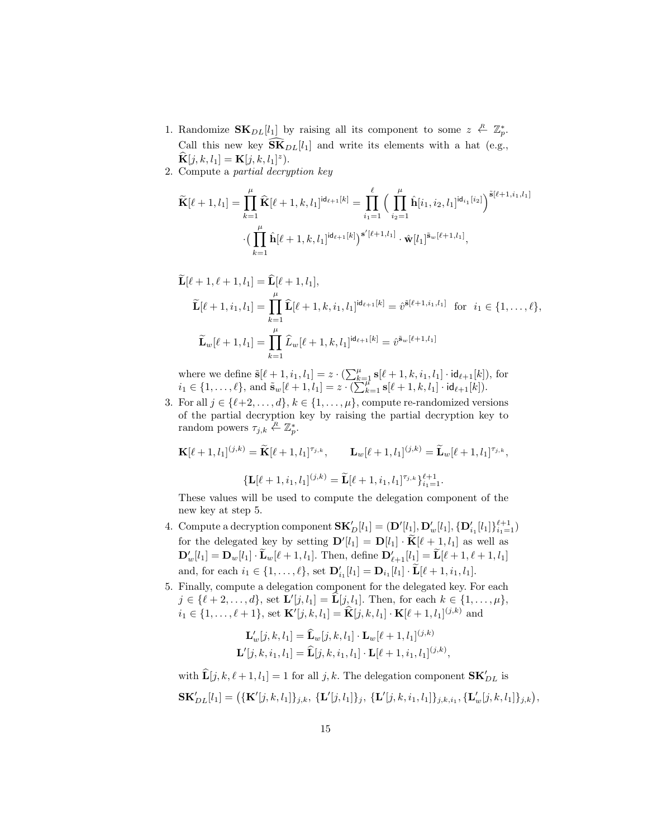- 1. Randomize  $\mathbf{SK}_{DL}[l_1]$  by raising all its component to some  $z \stackrel{R}{\leftarrow} \mathbb{Z}_p^*$ . Call this new key  $\widetilde{\mathbf{SK}}_{DL}[l_1]$  and write its elements with a hat (e.g.,  $\widehat{\mathbf{K}}[j, k, l_1] = \mathbf{K}[j, k, l_1]^z).$
- 2. Compute a partial decryption key

$$
\widetilde{\mathbf{K}}[\ell+1, l_1] = \prod_{k=1}^{\mu} \widehat{\mathbf{K}}[\ell+1, k, l_1]^{\mathrm{id}_{\ell+1}[k]} = \prod_{i_1=1}^{\ell} \Big( \prod_{i_2=1}^{\mu} \widehat{\mathbf{h}}[i_1, i_2, l_1]^{\mathrm{id}_{i_1}[i_2]} \Big)^{\tilde{\mathbf{s}}[\ell+1, i_1, l_1]}
$$

$$
\cdot \Big( \prod_{k=1}^{\mu} \widehat{\mathbf{h}}[\ell+1, k, l_1]^{\mathrm{id}_{\ell+1}[k]} \Big)^{\mathbf{s}'[\ell+1, l_1]} \cdot \widehat{\mathbf{w}}[l_1]^{\tilde{\mathbf{s}}_w[\ell+1, l_1]},
$$

$$
\widetilde{\mathbf{L}}[\ell+1,\ell+1,l_1] = \widehat{\mathbf{L}}[\ell+1,l_1],\n\widetilde{\mathbf{L}}[\ell+1,i_1,l_1] = \prod_{k=1}^{\mu} \widehat{\mathbf{L}}[\ell+1,k,i_1,l_1]^{\mathrm{id}_{\ell+1}[k]} = \widehat{v}^{\tilde{\mathbf{s}}[\ell+1,i_1,l_1]} \text{ for } i_1 \in \{1,\ldots,\ell\},\n\widetilde{\mathbf{L}}_w[\ell+1,l_1] = \prod_{k=1}^{\mu} \widehat{L}_w[\ell+1,k,l_1]^{\mathrm{id}_{\ell+1}[k]} = \widehat{v}^{\tilde{\mathbf{s}}_w[\ell+1,l_1]}
$$

where we define  $\tilde{\mathbf{s}}[\ell + 1, i_1, l_1] = z \cdot (\sum_{k=1}^{\mu} \mathbf{s}[\ell + 1, k, i_1, l_1] \cdot \mathbf{id}_{\ell+1}[k]),$  for  $i_1 \in \{1, \ldots, \ell\}, \text{ and } \tilde{\mathbf{s}}_w[\ell+1, l_1] = z \cdot (\sum_{k=1}^{n-1} \mathbf{s}[\ell+1, k, l_1] \cdot \mathbf{id}_{\ell+1}[k]).$ 

3. For all  $j \in \{\ell+2, \ldots, d\}, k \in \{1, \ldots, \mu\}$ , compute re-randomized versions of the partial decryption key by raising the partial decryption key to random powers  $\tau_{j,k} \stackrel{R}{\leftarrow} \mathbb{Z}_p^*$ .

$$
\mathbf{K}[\ell+1, l_1]^{(j,k)} = \widetilde{\mathbf{K}}[\ell+1, l_1]^{\tau_{j,k}}, \qquad \mathbf{L}_w[\ell+1, l_1]^{(j,k)} = \widetilde{\mathbf{L}}_w[\ell+1, l_1]^{\tau_{j,k}},
$$

$$
\{\mathbf{L}[\ell+1, i_1, l_1]^{(j,k)} = \widetilde{\mathbf{L}}[\ell+1, i_1, l_1]^{\tau_{j,k}}\}_{i_1=1}^{\ell+1}.
$$

These values will be used to compute the delegation component of the new key at step 5.

- 4. Compute a decryption component  $\mathbf{SK}'_D[l_1] = (\mathbf{D}'[l_1], \mathbf{D}'_w[l_1], {\{\mathbf{D}'_{i_1}}[l_1\}]}_{i_1=1}^{\ell+1})$ for the delegated key by setting  $\mathbf{D}'[l_1] = \mathbf{D}[l_1] \cdot \widetilde{\mathbf{K}}[\ell+1, l_1]$  as well as  $\mathbf{D}'_w[l_1] = \mathbf{D}_w[l_1] \cdot \widetilde{\mathbf{L}}_w[\ell+1, l_1]$ . Then, define  $\mathbf{D}'_{\ell+1}[l_1] = \widetilde{\mathbf{L}}[\ell+1, \ell+1, l_1]$ and, for each  $i_1 \in \{1, ..., \ell\}$ , set  $\mathbf{D}'_{i_1}[l_1] = \mathbf{D}_{i_1}[l_1] \cdot \widetilde{\mathbf{L}}[\ell + 1, i_1, l_1]$ .
- 5. Finally, compute a delegation component for the delegated key. For each  $j \in \{\ell + 2, \ldots, d\}$ , set  $\mathbf{L}'[j, l_1] = \widehat{\mathbf{L}}[j, l_1]$ . Then, for each  $k \in \{1, \ldots, \mu\}$ ,  $i_1 \in \{1, ..., \ell + 1\}$ , set  $\mathbf{K}'[j, k, l_1] = \hat{\mathbf{K}}[j, k, l_1] \cdot \mathbf{K}[\ell + 1, l_1]^{(j,k)}$  and

$$
\mathbf{L}'_w[j,k,l_1] = \widehat{\mathbf{L}}_w[j,k,l_1] \cdot \mathbf{L}_w[\ell+1,l_1]^{(j,k)}
$$
  

$$
\mathbf{L}'[j,k,i_1,l_1] = \widehat{\mathbf{L}}[j,k,i_1,l_1] \cdot \mathbf{L}[\ell+1,i_1,l_1]^{(j,k)},
$$

with  $\widehat{\mathbf{L}}[j, k, \ell+1, l_1] = 1$  for all  $j, k$ . The delegation component  $\mathbf{SK}_{DL}'$  is  $\mathbf{SK}'_{DL}[l_1] = \left( {\{ \mathbf{K}'[j,k,l_1] \}_{j,k}, \ \{\mathbf{L}'[j,l_1] \}_j, \ \{\mathbf{L}'[j,k,i_1,l_1] \}_{j,k,i_1}, \{\mathbf{L}'_w[j,k,l_1] \}_{j,k} \right)},$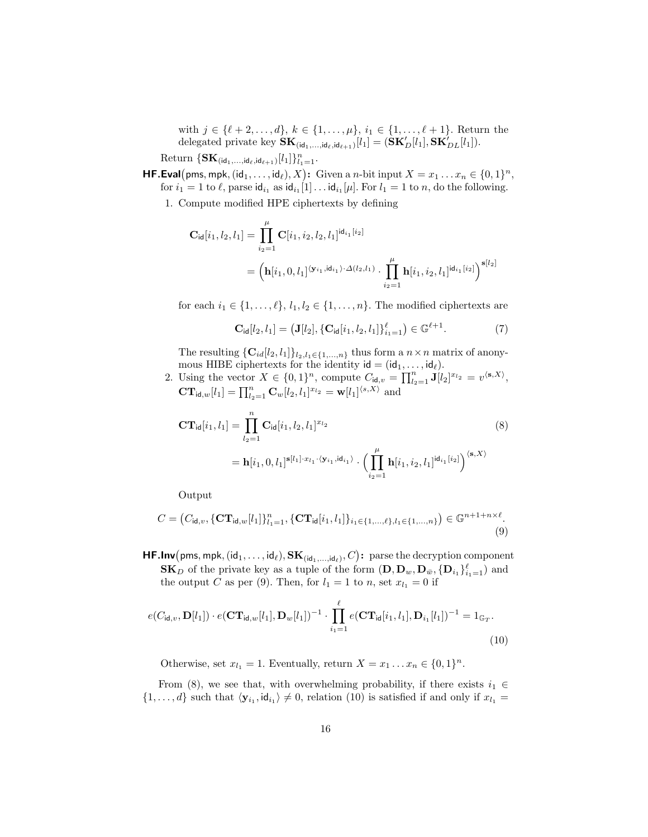with  $j \in \{\ell + 2, \ldots, d\}, k \in \{1, \ldots, \mu\}, i_1 \in \{1, \ldots, \ell + 1\}.$  Return the delegated private key  $\mathbf{SK}_{(\mathsf{id}_1,\dots,\mathsf{id}_\ell,\mathsf{id}_{\ell+1})}[l_1] = (\mathbf{SK}'_D[l_1], \mathbf{SK}'_{DL}[l_1]).$ 

Return  $\{\mathbf{SK}_{(\mathsf{id}_1,\ldots,\mathsf{id}_\ell,\mathsf{id}_{\ell+1})}[l_1]\}_{l_1=1}^n$ .

**HF.Eval**(pms, mpk,  $(id_1, ..., id_\ell), X$ ): Given a *n*-bit input  $X = x_1 ... x_n \in \{0, 1\}^n$ , for  $i_1 = 1$  to  $\ell$ , parse  $\mathsf{id}_{i_1}$  as  $\mathsf{id}_{i_1}[1] \dots \mathsf{id}_{i_1}[\mu]$ . For  $l_1 = 1$  to  $n$ , do the following.

1. Compute modified HPE ciphertexts by defining

$$
C_{\text{id}}[i_1, l_2, l_1] = \prod_{i_2=1}^{\mu} C[i_1, i_2, l_2, l_1]^{\text{id}_{i_1}[i_2]}
$$
  
= 
$$
\left(\mathbf{h}[i_1, 0, l_1]^{\langle \mathbf{y}_{i_1}, \text{id}_{i_1} \rangle \cdot \Delta(l_2, l_1)} \cdot \prod_{i_2=1}^{\mu} \mathbf{h}[i_1, i_2, l_1]^{\text{id}_{i_1}[i_2]}\right)^{\mathbf{s}[l_2]}
$$

for each  $i_1 \in \{1, \ldots, \ell\}, l_1, l_2 \in \{1, \ldots, n\}.$  The modified ciphertexts are

$$
\mathbf{C}_{\mathrm{id}}[l_2, l_1] = (\mathbf{J}[l_2], \{\mathbf{C}_{\mathrm{id}}[i_1, l_2, l_1]\}_{i_1=1}^{\ell}) \in \mathbb{G}^{\ell+1}.
$$
 (7)

The resulting  $\{\mathbf{C}_{id}[l_2, l_1]\}_{l_2, l_1 \in \{1, ..., n\}}$  thus form a  $n \times n$  matrix of anonymous HIBE ciphertexts for the identity  $\mathsf{id} = (\mathsf{id}_1, \dots, \mathsf{id}_\ell).$ 

2. Using the vector  $X \in \{0,1\}^n$ , compute  $C_{\mathsf{id},v} = \prod_{l_2=1}^n \mathbf{J}[l_2]^{x_{l_2}} = v^{\langle \mathbf{s}, X \rangle},$  $\mathbf{CT}_{\mathsf{id},w}[l_1] = \prod_{l_2=1}^n \mathbf{C}_w[l_2, l_1]^{x_{l_2}} = \mathbf{w}[l_1]^{ \langle s, X \rangle}$  and

$$
\mathbf{CT}_{\mathsf{id}}[i_1, l_1] = \prod_{l_2=1}^n \mathbf{C}_{\mathsf{id}}[i_1, l_2, l_1]^{x_{l_2}} \n= \mathbf{h}[i_1, 0, l_1]^{s[l_1] \cdot x_{l_1} \cdot \langle \mathbf{y}_{i_1}, \mathsf{id}_{i_1} \rangle} \cdot \Big( \prod_{i_2=1}^\mu \mathbf{h}[i_1, i_2, l_1]^{d_{i_1}[i_2]} \Big)^{\langle \mathbf{s}, X \rangle}
$$
\n(8)

Output

$$
C = (C_{\mathrm{id},v}, \{\mathbf{CT}_{\mathrm{id},w}[l_1]\}_{l_1=1}^n, \{\mathbf{CT}_{\mathrm{id}}[i_1, l_1]\}_{i_1 \in \{1, ..., \ell\}, l_1 \in \{1, ..., n\}}) \in \mathbb{G}^{n+1+n \times \ell}.
$$
\n(9)

 $\mathsf{HF.lnv}(\textsf{pms},\textsf{mpk},(\textsf{id}_1,\dots,\textsf{id}_\ell),\mathbf{SK}_{(\textsf{id}_1,\dots,\textsf{id}_\ell)},C)$ : parse the decryption component  $\mathbf{SK}_D$  of the private key as a tuple of the form  $(\mathbf{D}, \mathbf{D}_w, \mathbf{D}_{\bar{w}}, \{\mathbf{D}_{i_1}\}_{i_1=1}^{\ell})$  and the output C as per (9). Then, for  $l_1 = 1$  to n, set  $x_{l_1} = 0$  if

$$
e(C_{\mathsf{id},v}, \mathbf{D}[l_1]) \cdot e(\mathbf{CT}_{\mathsf{id},w}[l_1], \mathbf{D}_w[l_1])^{-1} \cdot \prod_{i_1=1}^{\ell} e(\mathbf{CT}_{\mathsf{id}}[i_1, l_1], \mathbf{D}_{i_1}[l_1])^{-1} = 1_{\mathbb{G}_T}.
$$
\n(10)

Otherwise, set  $x_{l_1} = 1$ . Eventually, return  $X = x_1 \dots x_n \in \{0, 1\}^n$ .

From (8), we see that, with overwhelming probability, if there exists  $i_1 \in$  $\{1,\ldots,d\}$  such that  $\langle \mathbf{y}_{i_1},\mathbf{id}_{i_1}\rangle\neq 0$ , relation (10) is satisfied if and only if  $x_{l_1} =$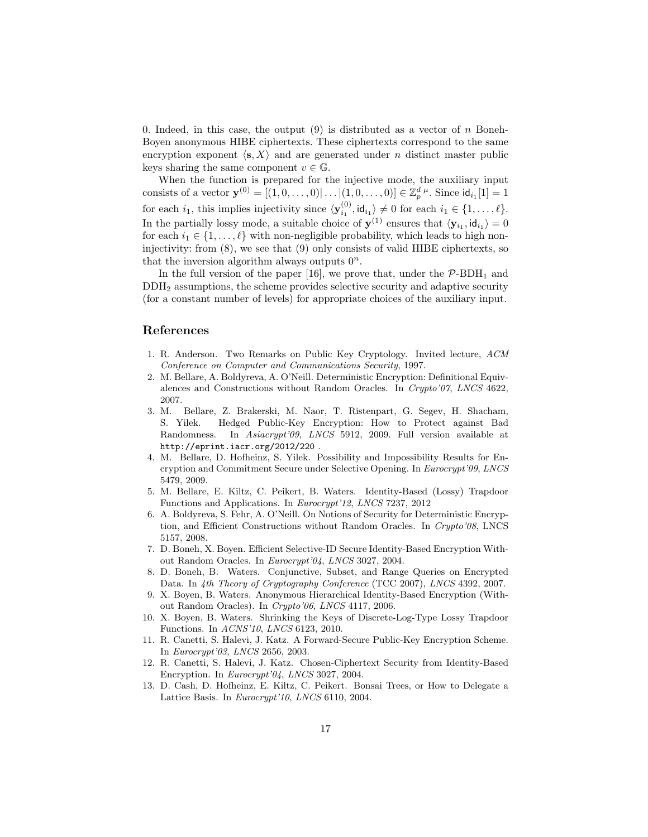0. Indeed, in this case, the output  $(9)$  is distributed as a vector of n Boneh-Boyen anonymous HIBE ciphertexts. These ciphertexts correspond to the same encryption exponent  $\langle s, X \rangle$  and are generated under *n* distinct master public keys sharing the same component  $v \in \mathbb{G}$ .

When the function is prepared for the injective mode, the auxiliary input consists of a vector  $\mathbf{y}^{(0)} = [(1, 0, \dots, 0)| \dots | (1, 0, \dots, 0)] \in \mathbb{Z}_p^{d \cdot \mu}$ . Since  $\mathsf{id}_{i_1}[1] = 1$ for each  $i_1$ , this implies injectivity since  $\langle \mathbf{y}_{i_1}^{(0)}, \mathsf{id}_{i_1} \rangle \neq 0$  for each  $i_1 \in \{1, \ldots, \ell\}.$ In the partially lossy mode, a suitable choice of  $y^{(1)}$  ensures that  $\langle y_{i_1}, id_{i_1} \rangle = 0$ for each  $i_1 \in \{1, \ldots, \ell\}$  with non-negligible probability, which leads to high noninjectivity: from (8), we see that (9) only consists of valid HIBE ciphertexts, so that the inversion algorithm always outputs  $0^n$ .

In the full version of the paper [16], we prove that, under the  $\mathcal{P}\text{-}BDH_1$  and DDH<sup>2</sup> assumptions, the scheme provides selective security and adaptive security (for a constant number of levels) for appropriate choices of the auxiliary input.

# References

- 1. R. Anderson. Two Remarks on Public Key Cryptology. Invited lecture, ACM Conference on Computer and Communications Security, 1997.
- 2. M. Bellare, A. Boldyreva, A. O'Neill. Deterministic Encryption: Definitional Equivalences and Constructions without Random Oracles. In Crypto'07, LNCS 4622, 2007.
- 3. M. Bellare, Z. Brakerski, M. Naor, T. Ristenpart, G. Segev, H. Shacham, S. Yilek. Hedged Public-Key Encryption: How to Protect against Bad Randomness. In Asiacrypt'09, LNCS 5912, 2009. Full version available at http://eprint.iacr.org/2012/220 .
- 4. M. Bellare, D. Hofheinz, S. Yilek. Possibility and Impossibility Results for Encryption and Commitment Secure under Selective Opening. In Eurocrypt'09, LNCS 5479, 2009.
- 5. M. Bellare, E. Kiltz, C. Peikert, B. Waters. Identity-Based (Lossy) Trapdoor Functions and Applications. In Eurocrypt'12, LNCS 7237, 2012
- 6. A. Boldyreva, S. Fehr, A. O'Neill. On Notions of Security for Deterministic Encryption, and Efficient Constructions without Random Oracles. In Crypto'08, LNCS 5157, 2008.
- 7. D. Boneh, X. Boyen. Efficient Selective-ID Secure Identity-Based Encryption Without Random Oracles. In Eurocrypt'04, LNCS 3027, 2004.
- 8. D. Boneh, B. Waters. Conjunctive, Subset, and Range Queries on Encrypted Data. In 4th Theory of Cryptography Conference (TCC 2007), LNCS 4392, 2007.
- 9. X. Boyen, B. Waters. Anonymous Hierarchical Identity-Based Encryption (Without Random Oracles). In Crypto'06, LNCS 4117, 2006.
- 10. X. Boyen, B. Waters. Shrinking the Keys of Discrete-Log-Type Lossy Trapdoor Functions. In ACNS'10, LNCS 6123, 2010.
- 11. R. Canetti, S. Halevi, J. Katz. A Forward-Secure Public-Key Encryption Scheme. In Eurocrypt'03, LNCS 2656, 2003.
- 12. R. Canetti, S. Halevi, J. Katz. Chosen-Ciphertext Security from Identity-Based Encryption. In Eurocrypt'04, LNCS 3027, 2004.
- 13. D. Cash, D. Hofheinz, E. Kiltz, C. Peikert. Bonsai Trees, or How to Delegate a Lattice Basis. In Eurocrypt'10, LNCS 6110, 2004.